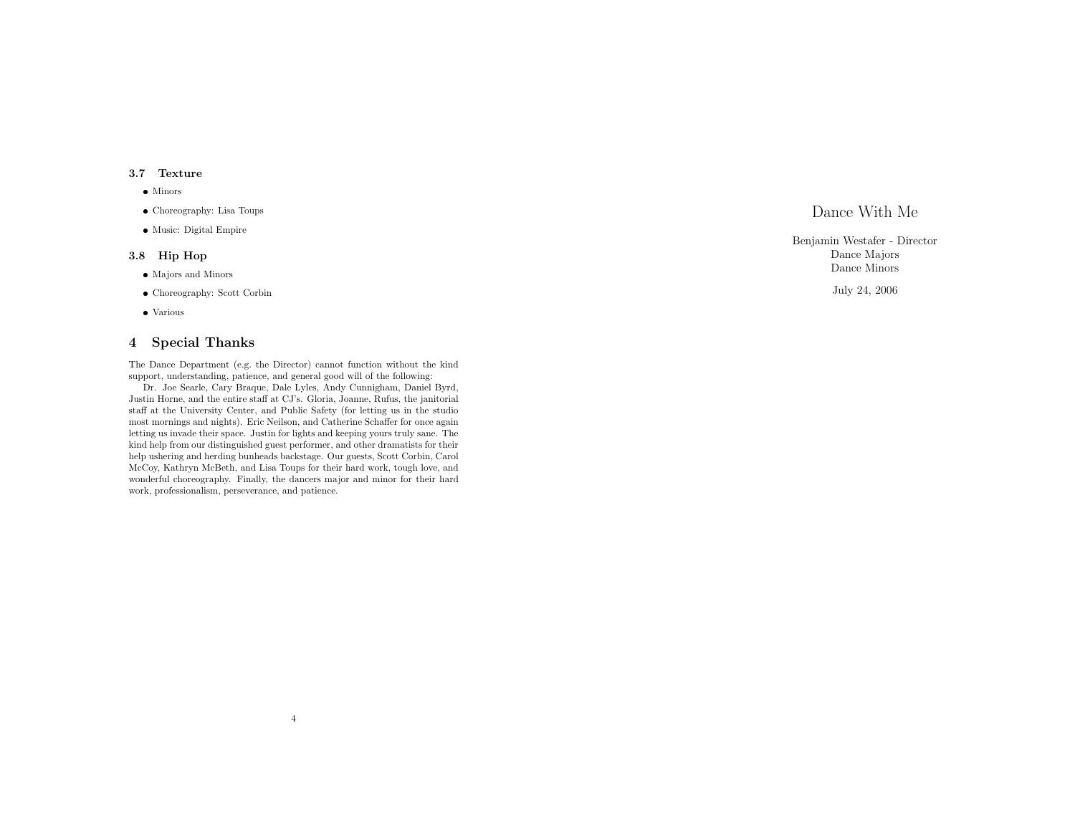## 3.7 Texture

- Minors
- Choreography: Lisa Toups
- Music: Digital Empire

## 3.8 Hip Hop

- Majors and Minors
- Choreography: Scott Corbin
- Various

# 4 Special Thanks

The Dance Department (e.g. the Director) cannot function without the kind support, understanding, patience, and general good will of the following:

Dr. Joe Searle, Cary Braque, Dale Lyles, Andy Cunnigham, Daniel Byrd, Justin Horne, and the entire staff at CJ's. Gloria, Joanne, Rufus, the janitorial staff at the University Center, and Public Safety (for letting us in the studio most mornings and nights). Eric Neilson, and Catherine Schaffer for once again letting us invade their space. Justin for lights and keeping yours truly sane. The kind help from our distinguished guest performer, and other dramatists for their help ushering and herding bunheads backstage. Our guests, Scott Corbin, Carol McCoy, Kathryn McBeth, and Lisa Toups for their hard work, tough love, and wonderful choreography. Finally, the dancers major and minor for their hard work, professionalism, perseverance, and patience.

4

Dance With Me

Benjamin Westafer - Director Dance Majors Dance Minors

July 24, 2006